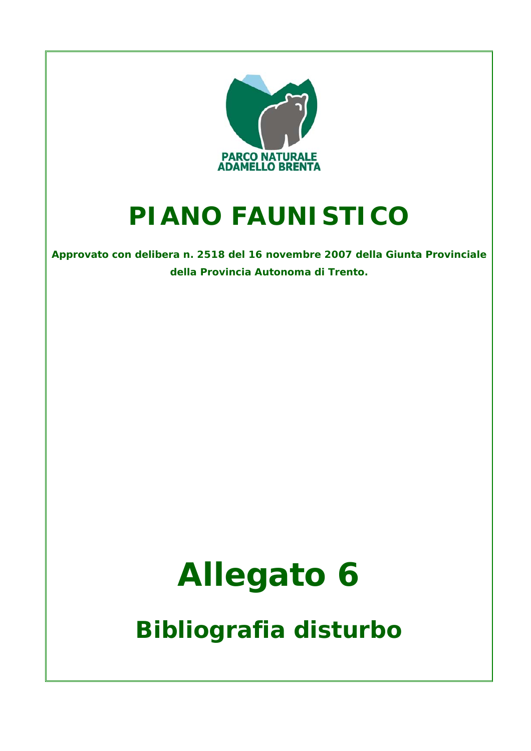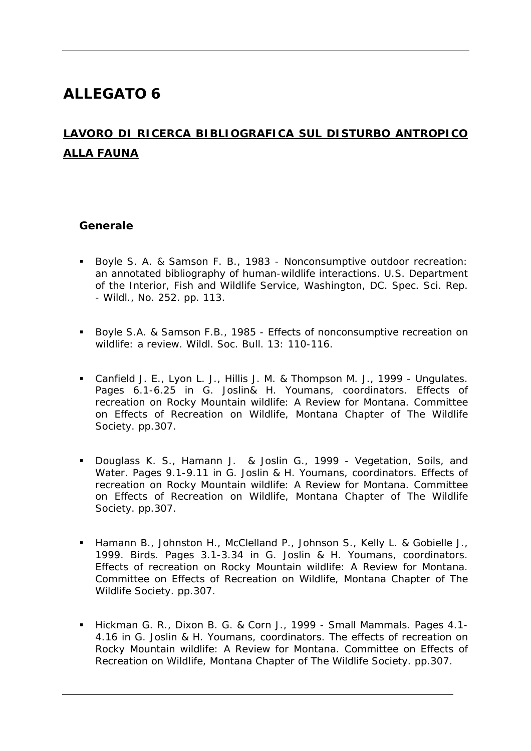# **ALLEGATO 6**

## **LAVORO DI RICERCA BIBLIOGRAFICA SUL DISTURBO ANTROPICO ALLA FAUNA**

#### **Generale**

- Boyle S. A. & Samson F. B., 1983 Nonconsumptive outdoor recreation: an annotated bibliography of human-wildlife interactions. U.S. Department of the Interior, Fish and Wildlife Service, Washington, DC. Spec. Sci. Rep. - Wildl., No. 252. pp. 113.
- Boyle S.A. & Samson F.B., 1985 Effects of nonconsumptive recreation on wildlife: a review. Wildl. Soc. Bull. 13: 110-116.
- Canfield J. E., Lyon L. J., Hillis J. M. & Thompson M. J., 1999 Ungulates. Pages 6.1-6.25 in G. Joslin& H. Youmans, coordinators. Effects of recreation on Rocky Mountain wildlife: A Review for Montana. Committee on Effects of Recreation on Wildlife, Montana Chapter of The Wildlife Society. pp.307.
- Douglass K. S., Hamann J. & Joslin G., 1999 Vegetation, Soils, and Water. Pages 9.1-9.11 in G. Joslin & H. Youmans, coordinators. Effects of recreation on Rocky Mountain wildlife: A Review for Montana. Committee on Effects of Recreation on Wildlife, Montana Chapter of The Wildlife Society. pp.307.
- Hamann B., Johnston H., McClelland P., Johnson S., Kelly L. & Gobielle J., 1999. Birds. Pages 3.1-3.34 in G. Joslin & H. Youmans, coordinators. Effects of recreation on Rocky Mountain wildlife: A Review for Montana. Committee on Effects of Recreation on Wildlife, Montana Chapter of The Wildlife Society. pp.307.
- Hickman G. R., Dixon B. G. & Corn J., 1999 Small Mammals. Pages 4.1-4.16 in G. Joslin & H. Youmans, coordinators. The effects of recreation on Rocky Mountain wildlife: A Review for Montana. Committee on Effects of Recreation on Wildlife, Montana Chapter of The Wildlife Society. pp.307.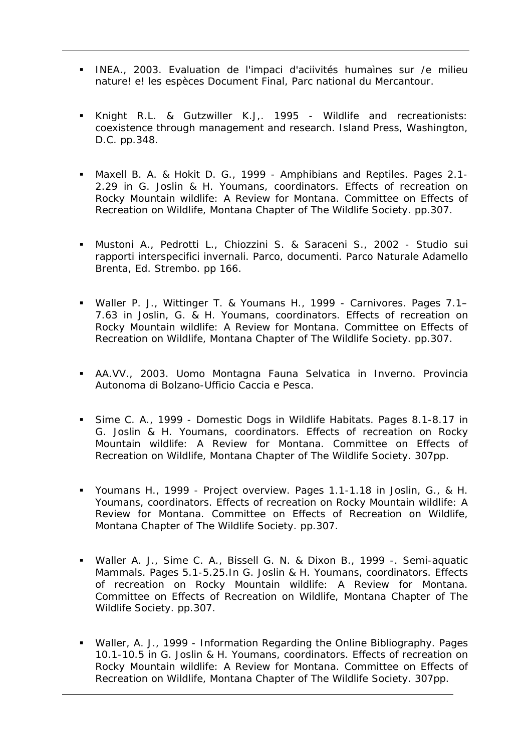- INEA., 2003. Evaluation de l'impaci d'aciivités humaìnes sur /e milieu nature! e! les espèces Document Final, Parc national du Mercantour.
- Knight R.L. & Gutzwiller K.J,. 1995 Wildlife and recreationists: coexistence through management and research. Island Press, Washington, D.C. pp.348.
- Maxell B. A. & Hokit D. G., 1999 Amphibians and Reptiles. Pages 2.1- 2.29 in G. Joslin & H. Youmans, coordinators. Effects of recreation on Rocky Mountain wildlife: A Review for Montana. Committee on Effects of Recreation on Wildlife, Montana Chapter of The Wildlife Society. pp.307.
- Mustoni A., Pedrotti L., Chiozzini S. & Saraceni S., 2002 Studio sui rapporti interspecifici invernali. Parco, documenti. Parco Naturale Adamello Brenta, Ed. Strembo. pp 166.
- Waller P. J., Wittinger T. & Youmans H., 1999 Carnivores. Pages 7.1– 7.63 in Joslin, G. & H. Youmans, coordinators. Effects of recreation on Rocky Mountain wildlife: A Review for Montana. Committee on Effects of Recreation on Wildlife, Montana Chapter of The Wildlife Society. pp.307.
- AA.VV., 2003. Uomo Montagna Fauna Selvatica in Inverno. Provincia Autonoma di Bolzano-Ufficio Caccia e Pesca.
- Sime C. A., 1999 Domestic Dogs in Wildlife Habitats. Pages 8.1-8.17 in G. Joslin & H. Youmans, coordinators. Effects of recreation on Rocky Mountain wildlife: A Review for Montana. Committee on Effects of Recreation on Wildlife, Montana Chapter of The Wildlife Society. 307pp.
- Youmans H., 1999 Project overview. Pages 1.1-1.18 in Joslin, G., & H. Youmans, coordinators. Effects of recreation on Rocky Mountain wildlife: A Review for Montana. Committee on Effects of Recreation on Wildlife, Montana Chapter of The Wildlife Society. pp.307.
- Waller A. J., Sime C. A., Bissell G. N. & Dixon B., 1999 -. Semi-aquatic Mammals. Pages 5.1-5.25.In G. Joslin & H. Youmans, coordinators. Effects of recreation on Rocky Mountain wildlife: A Review for Montana. Committee on Effects of Recreation on Wildlife, Montana Chapter of The Wildlife Society. pp.307.
- Waller, A. J., 1999 Information Regarding the Online Bibliography. Pages 10.1-10.5 in G. Joslin & H. Youmans, coordinators. Effects of recreation on Rocky Mountain wildlife: A Review for Montana. Committee on Effects of Recreation on Wildlife, Montana Chapter of The Wildlife Society. 307pp.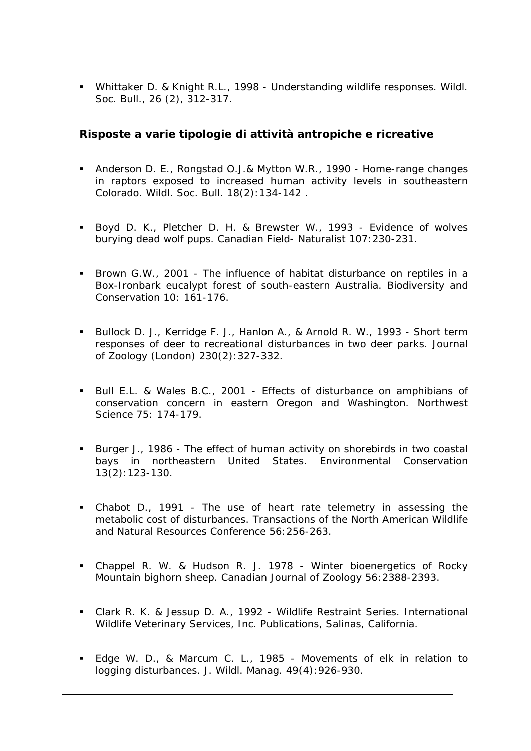Whittaker D. & Knight R.L., 1998 - Understanding wildlife responses. Wildl. Soc. Bull., 26 (2), 312-317.

#### **Risposte a varie tipologie di attività antropiche e ricreative**

- Anderson D. E., Rongstad O.J.& Mytton W.R., 1990 Home-range changes in raptors exposed to increased human activity levels in southeastern Colorado. Wildl. Soc. Bull. 18(2):134-142 .
- Boyd D. K., Pletcher D. H. & Brewster W., 1993 Evidence of wolves burying dead wolf pups. Canadian Field- Naturalist 107:230-231.
- Brown G.W., 2001 The influence of habitat disturbance on reptiles in a Box-Ironbark eucalypt forest of south-eastern Australia. Biodiversity and Conservation 10: 161-176.
- Bullock D. J., Kerridge F. J., Hanlon A., & Arnold R. W., 1993 Short term responses of deer to recreational disturbances in two deer parks. Journal of Zoology (London) 230(2):327-332.
- Bull E.L. & Wales B.C., 2001 Effects of disturbance on amphibians of conservation concern in eastern Oregon and Washington. Northwest Science 75: 174-179.
- Burger J., 1986 The effect of human activity on shorebirds in two coastal bays in northeastern United States. Environmental Conservation 13(2):123-130.
- Chabot D., 1991 The use of heart rate telemetry in assessing the metabolic cost of disturbances. Transactions of the North American Wildlife and Natural Resources Conference 56:256-263.
- Chappel R. W. & Hudson R. J. 1978 Winter bioenergetics of Rocky Mountain bighorn sheep. Canadian Journal of Zoology 56:2388-2393.
- Clark R. K. & Jessup D. A., 1992 Wildlife Restraint Series. International Wildlife Veterinary Services, Inc. Publications, Salinas, California.
- Edge W. D., & Marcum C. L., 1985 Movements of elk in relation to logging disturbances. J. Wildl. Manag. 49(4):926-930.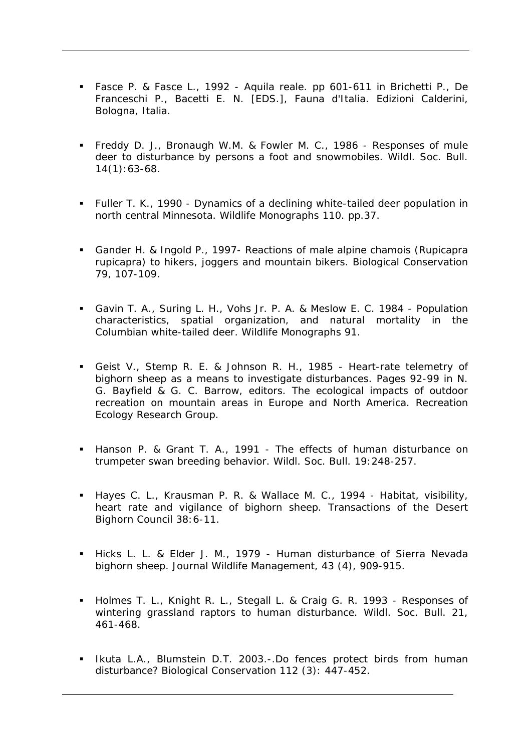- Fasce P. & Fasce L., 1992 Aquila reale. pp 601-611 in Brichetti P., De Franceschi P., Bacetti E. N. [EDS.], Fauna d'Italia. Edizioni Calderini, Bologna, Italia.
- Freddy D. J., Bronaugh W.M. & Fowler M. C., 1986 Responses of mule deer to disturbance by persons a foot and snowmobiles. Wildl. Soc. Bull. 14(1):63-68.
- Fuller T. K., 1990 Dynamics of a declining white-tailed deer population in north central Minnesota. Wildlife Monographs 110. pp.37.
- Gander H. & Ingold P., 1997- Reactions of male alpine chamois (Rupicapra rupicapra) to hikers, joggers and mountain bikers. Biological Conservation 79, 107-109.
- Gavin T. A., Suring L. H., Vohs Jr. P. A. & Meslow E. C. 1984 Population characteristics, spatial organization, and natural mortality in the Columbian white-tailed deer. Wildlife Monographs 91.
- Geist V., Stemp R. E. & Johnson R. H., 1985 Heart-rate telemetry of bighorn sheep as a means to investigate disturbances. Pages 92-99 in N. G. Bayfield & G. C. Barrow, editors. The ecological impacts of outdoor recreation on mountain areas in Europe and North America. Recreation Ecology Research Group.
- Hanson P. & Grant T. A., 1991 The effects of human disturbance on trumpeter swan breeding behavior. Wildl. Soc. Bull. 19:248-257.
- Hayes C. L., Krausman P. R. & Wallace M. C., 1994 Habitat, visibility, heart rate and vigilance of bighorn sheep. Transactions of the Desert Bighorn Council 38:6-11.
- Hicks L. L. & Elder J. M., 1979 Human disturbance of Sierra Nevada bighorn sheep. Journal Wildlife Management, 43 (4), 909-915.
- Holmes T. L., Knight R. L., Stegall L. & Craig G. R. 1993 Responses of wintering grassland raptors to human disturbance. Wildl. Soc. Bull. 21, 461-468.
- **I.** Ikuta L.A., Blumstein D.T. 2003.-.Do fences protect birds from human disturbance? Biological Conservation 112 (3): 447-452.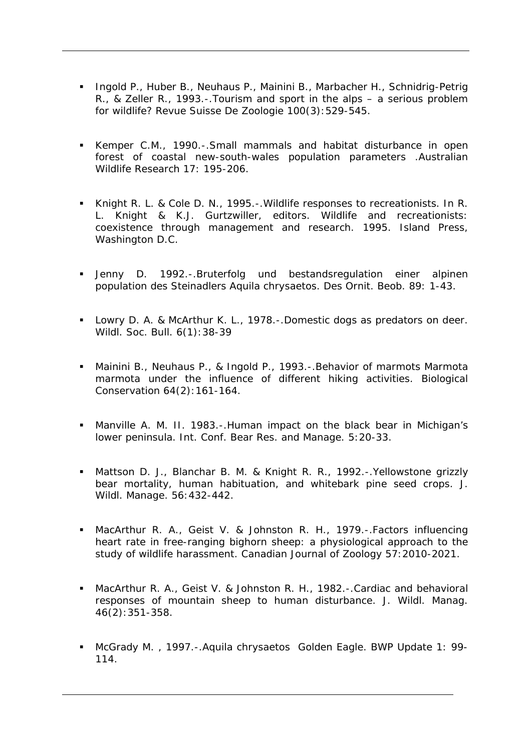- **Ingold P., Huber B., Neuhaus P., Mainini B., Marbacher H., Schnidrig-Petrig** R., & Zeller R., 1993.-.Tourism and sport in the alps – a serious problem for wildlife? Revue Suisse De Zoologie 100(3):529-545.
- Kemper C.M., 1990.-.Small mammals and habitat disturbance in open forest of coastal new-south-wales population parameters .Australian Wildlife Research 17: 195-206.
- Knight R. L. & Cole D. N., 1995.-.Wildlife responses to recreationists. In R. L. Knight & K.J. Gurtzwiller, editors. Wildlife and recreationists: coexistence through management and research. 1995. Island Press, Washington D.C.
- Jenny D. 1992.-.Bruterfolg und bestandsregulation einer alpinen population des Steinadlers Aquila chrysaetos. Des Ornit. Beob. 89: 1-43.
- **Lowry D. A. & McArthur K. L., 1978.-.Domestic dogs as predators on deer.** Wildl. Soc. Bull. 6(1):38-39
- Mainini B., Neuhaus P., & Ingold P., 1993.-.Behavior of marmots Marmota marmota under the influence of different hiking activities. Biological Conservation 64(2):161-164.
- Manville A. M. II. 1983.-.Human impact on the black bear in Michigan's lower peninsula. Int. Conf. Bear Res. and Manage. 5:20-33.
- Mattson D. J., Blanchar B. M. & Knight R. R., 1992.-.Yellowstone grizzly bear mortality, human habituation, and whitebark pine seed crops. J. Wildl. Manage. 56:432-442.
- MacArthur R. A., Geist V. & Johnston R. H., 1979.-.Factors influencing heart rate in free-ranging bighorn sheep: a physiological approach to the study of wildlife harassment. Canadian Journal of Zoology 57:2010-2021.
- MacArthur R. A., Geist V. & Johnston R. H., 1982.-.Cardiac and behavioral responses of mountain sheep to human disturbance. J. Wildl. Manag. 46(2):351-358.
- McGrady M. , 1997.-.Aquila chrysaetos Golden Eagle. BWP Update 1: 99- 114.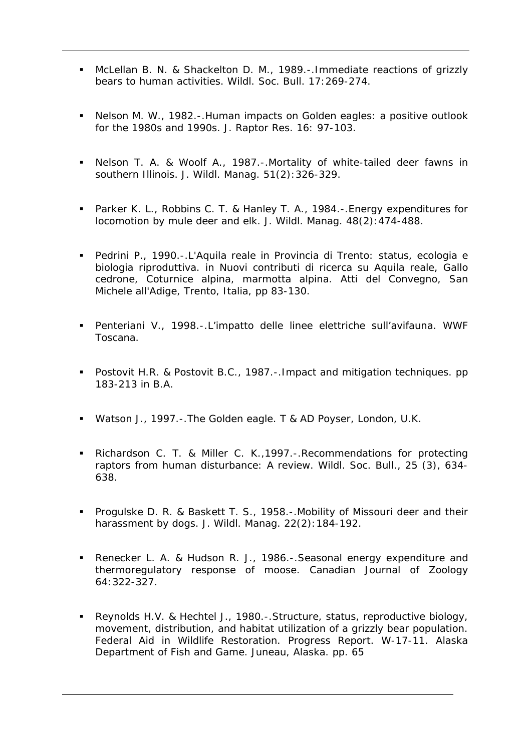- McLellan B. N. & Shackelton D. M., 1989.-.Immediate reactions of grizzly bears to human activities. Wildl. Soc. Bull. 17:269-274.
- Nelson M. W., 1982.-.Human impacts on Golden eagles: a positive outlook for the 1980s and 1990s. J. Raptor Res. 16: 97-103.
- Nelson T. A. & Woolf A., 1987.-.Mortality of white-tailed deer fawns in southern Illinois. J. Wildl. Manag. 51(2):326-329.
- Parker K. L., Robbins C. T. & Hanley T. A., 1984.-.Energy expenditures for locomotion by mule deer and elk. J. Wildl. Manag. 48(2):474-488.
- Pedrini P., 1990.-.L'Aquila reale in Provincia di Trento: status, ecologia e biologia riproduttiva. in Nuovi contributi di ricerca su Aquila reale, Gallo cedrone, Coturnice alpina, marmotta alpina. Atti del Convegno, San Michele all'Adige, Trento, Italia, pp 83-130.
- Penteriani V., 1998.-.L'impatto delle linee elettriche sull'avifauna. WWF Toscana.
- **Postovit H.R. & Postovit B.C., 1987.-. Impact and mitigation techniques. pp** 183-213 in B.A.
- Watson J., 1997.-.The Golden eagle. T & AD Poyser, London, U.K.
- Richardson C. T. & Miller C. K.,1997.-.Recommendations for protecting raptors from human disturbance: A review. Wildl. Soc. Bull., 25 (3), 634- 638.
- **Progulske D. R. & Baskett T. S., 1958.-. Mobility of Missouri deer and their** harassment by dogs. J. Wildl. Manag. 22(2):184-192.
- Renecker L. A. & Hudson R. J., 1986.-.Seasonal energy expenditure and thermoregulatory response of moose. Canadian Journal of Zoology 64:322-327.
- Reynolds H.V. & Hechtel J., 1980.-.Structure, status, reproductive biology, movement, distribution, and habitat utilization of a grizzly bear population. Federal Aid in Wildlife Restoration. Progress Report. W-17-11. Alaska Department of Fish and Game. Juneau, Alaska. pp. 65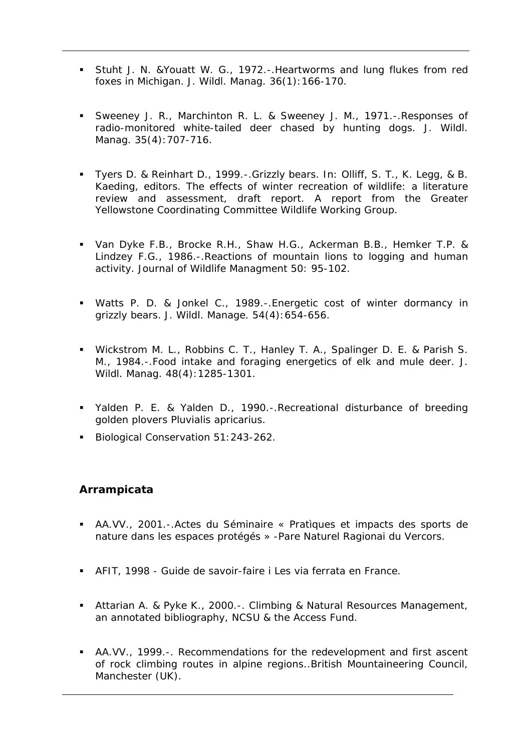- Stuht J. N. &Youatt W. G., 1972.-.Heartworms and lung flukes from red foxes in Michigan. J. Wildl. Manag. 36(1):166-170.
- Sweeney J. R., Marchinton R. L. & Sweeney J. M., 1971.-.Responses of radio-monitored white-tailed deer chased by hunting dogs. J. Wildl. Manag. 35(4):707-716.
- Tyers D. & Reinhart D., 1999.-.Grizzly bears. In: Olliff, S. T., K. Legg, & B. Kaeding, editors. The effects of winter recreation of wildlife: a literature review and assessment, draft report. A report from the Greater Yellowstone Coordinating Committee Wildlife Working Group.
- Van Dyke F.B., Brocke R.H., Shaw H.G., Ackerman B.B., Hemker T.P. & Lindzey F.G., 1986.-. Reactions of mountain lions to logging and human activity. Journal of Wildlife Managment 50: 95-102.
- Watts P. D. & Jonkel C., 1989.-.Energetic cost of winter dormancy in grizzly bears. J. Wildl. Manage. 54(4):654-656.
- Wickstrom M. L., Robbins C. T., Hanley T. A., Spalinger D. E. & Parish S. M., 1984.-.Food intake and foraging energetics of elk and mule deer. J. Wildl. Manag. 48(4):1285-1301.
- Yalden P. E. & Yalden D., 1990.-.Recreational disturbance of breeding golden plovers Pluvialis apricarius.
- Biological Conservation 51:243-262.

#### **Arrampicata**

- AA.VV., 2001.-.Actes du Séminaire « Pratìques et impacts des sports de nature dans les espaces protégés » -Pare Naturel Ragionai du Vercors.
- AFIT, 1998 Guide de savoir-faire i Les via ferrata en France.
- Attarian A. & Pyke K., 2000.-. Climbing & Natural Resources Management, an annotated bibliography, NCSU & the Access Fund.
- AA.VV., 1999.-. Recommendations for the redevelopment and first ascent of rock climbing routes in alpine regions..British Mountaineering Council, Manchester (UK).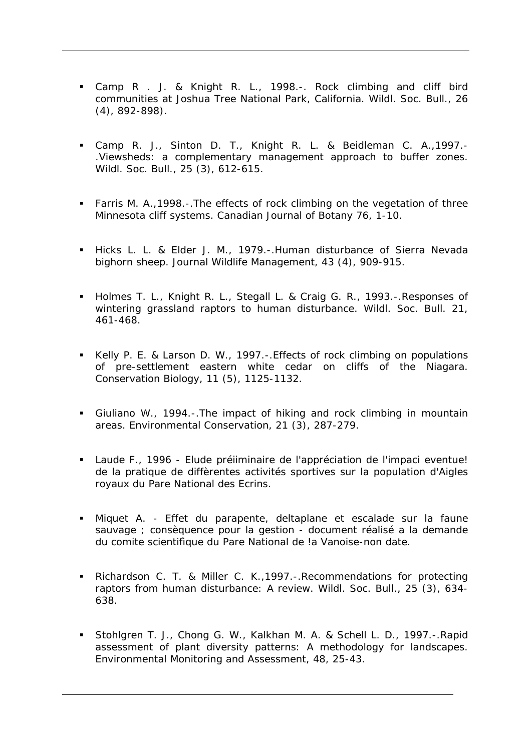- Camp R . J. & Knight R. L., 1998.-. Rock climbing and cliff bird communities at Joshua Tree National Park, California. Wildl. Soc. Bull., 26 (4), 892-898).
- Camp R. J., Sinton D. T., Knight R. L. & Beidleman C. A.,1997.- .Viewsheds: a complementary management approach to buffer zones. Wildl. Soc. Bull., 25 (3), 612-615.
- Farris M. A.,1998.-.The effects of rock climbing on the vegetation of three Minnesota cliff systems. Canadian Journal of Botany 76, 1-10.
- Hicks L. L. & Elder J. M., 1979.-. Human disturbance of Sierra Nevada bighorn sheep. Journal Wildlife Management, 43 (4), 909-915.
- Holmes T. L., Knight R. L., Stegall L. & Craig G. R., 1993.-. Responses of wintering grassland raptors to human disturbance. Wildl. Soc. Bull. 21, 461-468.
- Kelly P. E. & Larson D. W., 1997.-.Effects of rock climbing on populations of pre-settlement eastern white cedar on cliffs of the Niagara. Conservation Biology, 11 (5), 1125-1132.
- Giuliano W., 1994.-.The impact of hiking and rock climbing in mountain areas. Environmental Conservation, 21 (3), 287-279.
- Laude F., 1996 Elude préiiminaire de l'appréciation de l'impaci eventue! de la pratique de diffèrentes activités sportives sur la population d'Aigles royaux du Pare National des Ecrins.
- Miquet A. Effet du parapente, deltaplane et escalade sur la faune sauvage ; consèquence pour la gestion - document réalisé a la demande du comite scientifìque du Pare National de !a Vanoise-non date.
- Richardson C. T. & Miller C. K.,1997.-.Recommendations for protecting raptors from human disturbance: A review. Wildl. Soc. Bull., 25 (3), 634- 638.
- Stohlgren T. J., Chong G. W., Kalkhan M. A. & Schell L. D., 1997.-.Rapid assessment of plant diversity patterns: A methodology for landscapes. Environmental Monitoring and Assessment, 48, 25-43.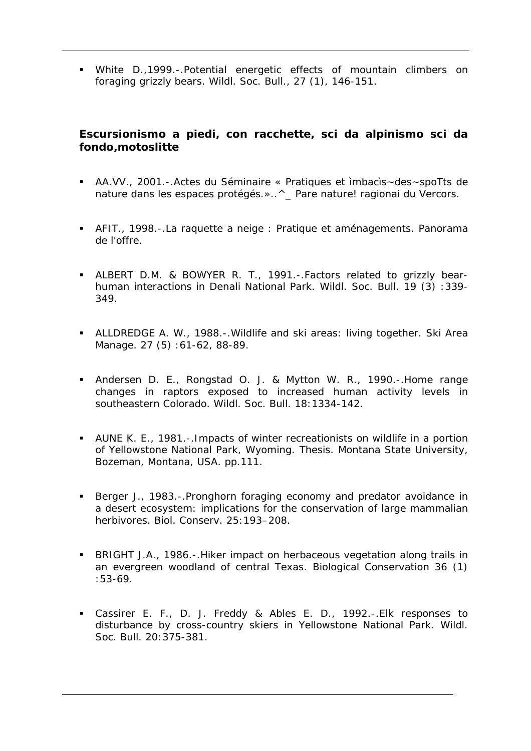White D.,1999.-.Potential energetic effects of mountain climbers on foraging grizzly bears. Wildl. Soc. Bull., 27 (1), 146-151.

### **Escursionismo a piedi, con racchette, sci da alpinismo sci da fondo,motoslitte**

- AA.VV., 2001.-.Actes du Séminaire « Pratiques et ìmbacìs~des~spoTts de nature dans les espaces protégés.»..^ Pare nature! ragionai du Vercors.
- AFIT., 1998.-.La raquette a neige : Pratique et aménagements. Panorama de l'offre.
- ALBERT D.M. & BOWYER R. T., 1991.-.Factors related to grizzly bearhuman interactions in Denali National Park. Wildl. Soc. Bull. 19 (3) :339- 349.
- ALLDREDGE A. W., 1988.-.Wildlife and ski areas: living together. Ski Area Manage. 27 (5):61-62, 88-89.
- Andersen D. E., Rongstad O. J. & Mytton W. R., 1990.-.Home range changes in raptors exposed to increased human activity levels in southeastern Colorado. Wildl. Soc. Bull. 18:1334-142.
- AUNE K. E., 1981.-.Impacts of winter recreationists on wildlife in a portion of Yellowstone National Park, Wyoming. Thesis. Montana State University, Bozeman, Montana, USA. pp.111.
- Berger J., 1983.-. Pronghorn foraging economy and predator avoidance in a desert ecosystem: implications for the conservation of large mammalian herbivores. Biol. Conserv. 25:193–208.
- BRIGHT J.A., 1986.-.Hiker impact on herbaceous vegetation along trails in an evergreen woodland of central Texas. Biological Conservation 36 (1) :53-69.
- Cassirer E. F., D. J. Freddy & Ables E. D., 1992.-.Elk responses to disturbance by cross-country skiers in Yellowstone National Park. Wildl. Soc. Bull. 20:375-381.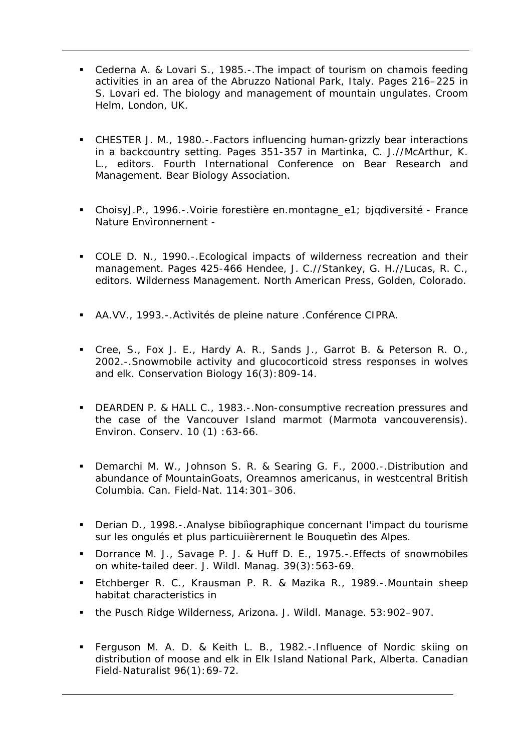- Cederna A. & Lovari S., 1985.-.The impact of tourism on chamois feeding activities in an area of the Abruzzo National Park, Italy. Pages 216–225 in S. Lovari ed. The biology and management of mountain ungulates. Croom Helm, London, UK.
- CHESTER J. M., 1980.-.Factors influencing human-grizzly bear interactions in a backcountry setting. Pages 351-357 in Martinka, C. J.//McArthur, K. L., editors. Fourth International Conference on Bear Research and Management. Bear Biology Association.
- ChoisyJ.P., 1996.-.Voirie forestière en.montagne\_e1; bjqdiversité France Nature Envìronnernent -
- COLE D. N., 1990.-.Ecological impacts of wilderness recreation and their management. Pages 425-466 Hendee, J. C.//Stankey, G. H.//Lucas, R. C., editors. Wilderness Management. North American Press, Golden, Colorado.
- AA.VV., 1993.-.Actìvités de pleine nature .Conférence CIPRA.
- Cree, S., Fox J. E., Hardy A. R., Sands J., Garrot B. & Peterson R. O., 2002.-.Snowmobile activity and glucocorticoid stress responses in wolves and elk. Conservation Biology 16(3):809-14.
- **DEARDEN P. & HALL C., 1983.-. Non-consumptive recreation pressures and** the case of the Vancouver Island marmot (Marmota vancouverensis). Environ. Conserv. 10 (1) :63-66.
- **Demarchi M. W., Johnson S. R. & Searing G. F., 2000.-.Distribution and** abundance of MountainGoats, Oreamnos americanus, in westcentral British Columbia. Can. Field-Nat. 114:301–306.
- Derian D., 1998.-.Analyse bibiìographique concernant l'impact du tourisme sur les ongulés et plus particuiièrernent le Bouquetìn des Alpes.
- **Dorrance M. J., Savage P. J. & Huff D. E., 1975.-. Effects of snowmobiles** on white-tailed deer. J. Wildl. Manag. 39(3):563-69.
- Etchberger R. C., Krausman P. R. & Mazika R., 1989.-.Mountain sheep habitat characteristics in
- the Pusch Ridge Wilderness, Arizona. J. Wildl. Manage. 53:902–907.
- Ferguson M. A. D. & Keith L. B., 1982.-.Influence of Nordic skiing on distribution of moose and elk in Elk Island National Park, Alberta. Canadian Field-Naturalist 96(1):69-72.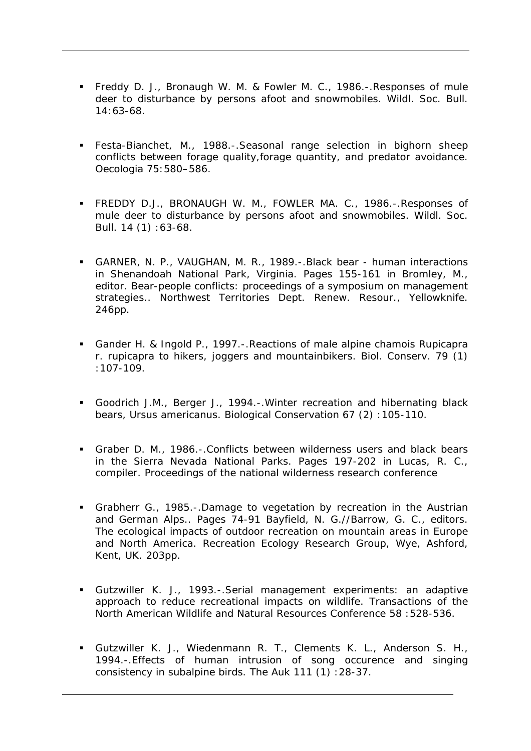- Freddy D. J., Bronaugh W. M. & Fowler M. C., 1986.-.Responses of mule deer to disturbance by persons afoot and snowmobiles. Wildl. Soc. Bull. 14:63-68.
- Festa-Bianchet, M., 1988.-.Seasonal range selection in bighorn sheep conflicts between forage quality,forage quantity, and predator avoidance. Oecologia 75:580–586.
- FREDDY D.J., BRONAUGH W. M., FOWLER MA. C., 1986.-.Responses of mule deer to disturbance by persons afoot and snowmobiles. Wildl. Soc. Bull. 14 (1) :63-68.
- GARNER, N. P., VAUGHAN, M. R., 1989.-.Black bear human interactions in Shenandoah National Park, Virginia. Pages 155-161 in Bromley, M., editor. Bear-people conflicts: proceedings of a symposium on management strategies.. Northwest Territories Dept. Renew. Resour., Yellowknife. 246pp.
- Gander H. & Ingold P., 1997.-.Reactions of male alpine chamois Rupicapra r. rupicapra to hikers, joggers and mountainbikers. Biol. Conserv. 79 (1) :107-109.
- Goodrich J.M., Berger J., 1994.-.Winter recreation and hibernating black bears, Ursus americanus. Biological Conservation 67 (2) :105-110.
- Graber D. M., 1986.-.Conflicts between wilderness users and black bears in the Sierra Nevada National Parks. Pages 197-202 in Lucas, R. C., compiler. Proceedings of the national wilderness research conference
- Grabherr G., 1985.-.Damage to vegetation by recreation in the Austrian and German Alps.. Pages 74-91 Bayfield, N. G.//Barrow, G. C., editors. The ecological impacts of outdoor recreation on mountain areas in Europe and North America. Recreation Ecology Research Group, Wye, Ashford, Kent, UK. 203pp.
- Gutzwiller K. J., 1993.-.Serial management experiments: an adaptive approach to reduce recreational impacts on wildlife. Transactions of the North American Wildlife and Natural Resources Conference 58 :528-536.
- Gutzwiller K. J., Wiedenmann R. T., Clements K. L., Anderson S. H., 1994.-.Effects of human intrusion of song occurence and singing consistency in subalpine birds. The Auk 111 (1) :28-37.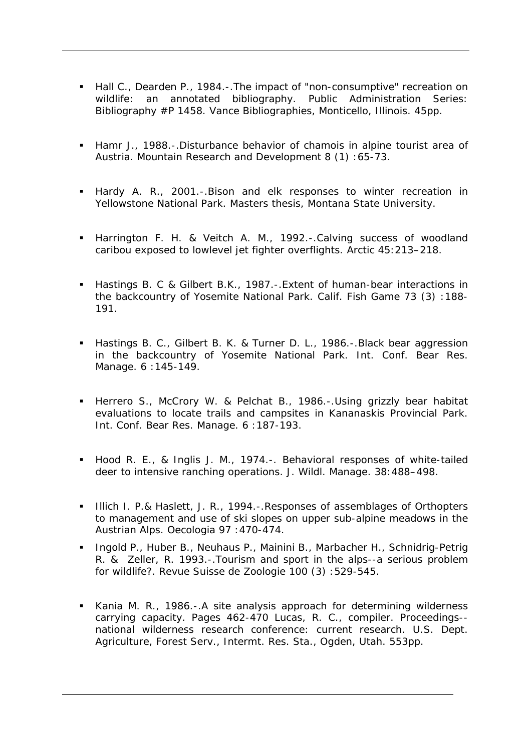- Hall C., Dearden P., 1984.-.The impact of "non-consumptive" recreation on wildlife: an annotated bibliography. Public Administration Series: Bibliography #P 1458. Vance Bibliographies, Monticello, Illinois. 45pp.
- Hamr J., 1988.-.Disturbance behavior of chamois in alpine tourist area of Austria. Mountain Research and Development 8 (1) :65-73.
- Hardy A. R., 2001.-.Bison and elk responses to winter recreation in Yellowstone National Park. Masters thesis, Montana State University.
- **-** Harrington F. H. & Veitch A. M., 1992.-.Calving success of woodland caribou exposed to lowlevel jet fighter overflights. Arctic 45:213–218.
- Hastings B. C & Gilbert B.K., 1987.-.Extent of human-bear interactions in the backcountry of Yosemite National Park. Calif. Fish Game 73 (3) :188- 191.
- Hastings B. C., Gilbert B. K. & Turner D. L., 1986.-.Black bear aggression in the backcountry of Yosemite National Park. Int. Conf. Bear Res. Manage. 6 :145-149.
- Herrero S., McCrory W. & Pelchat B., 1986.-.Using grizzly bear habitat evaluations to locate trails and campsites in Kananaskis Provincial Park. Int. Conf. Bear Res. Manage. 6 :187-193.
- Hood R. E., & Inglis J. M., 1974.-. Behavioral responses of white-tailed deer to intensive ranching operations. J. Wildl. Manage. 38:488–498.
- Illich I. P.& Haslett, J. R., 1994.-. Responses of assemblages of Orthopters to management and use of ski slopes on upper sub-alpine meadows in the Austrian Alps. Oecologia 97 :470-474.
- **Ingold P., Huber B., Neuhaus P., Mainini B., Marbacher H., Schnidrig-Petrig** R. & Zeller, R. 1993.-.Tourism and sport in the alps--a serious problem for wildlife?. Revue Suisse de Zoologie 100 (3) :529-545.
- Kania M. R., 1986.-.A site analysis approach for determining wilderness carrying capacity. Pages 462-470 Lucas, R. C., compiler. Proceedings- national wilderness research conference: current research. U.S. Dept. Agriculture, Forest Serv., Intermt. Res. Sta., Ogden, Utah. 553pp.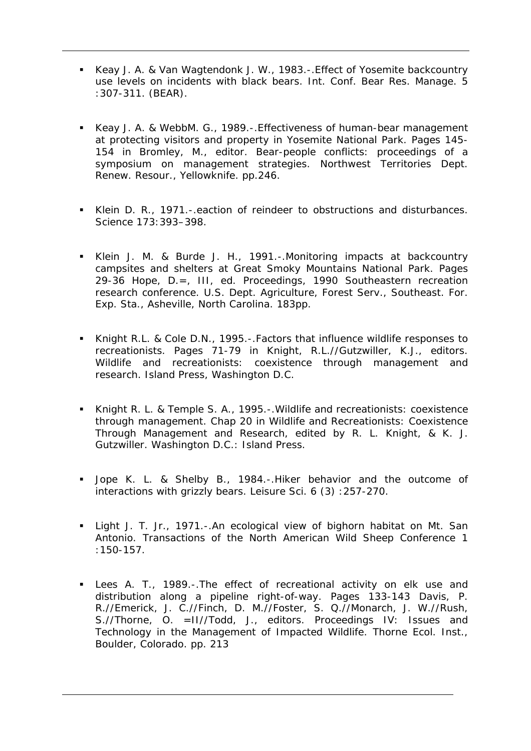- Keay J. A. & Van Wagtendonk J. W., 1983.-.Effect of Yosemite backcountry use levels on incidents with black bears. Int. Conf. Bear Res. Manage. 5 :307-311. (BEAR).
- Keay J. A. & WebbM. G., 1989.-.Effectiveness of human-bear management at protecting visitors and property in Yosemite National Park. Pages 145- 154 in Bromley, M., editor. Bear-people conflicts: proceedings of a symposium on management strategies. Northwest Territories Dept. Renew. Resour., Yellowknife. pp.246.
- Klein D. R., 1971.-.eaction of reindeer to obstructions and disturbances. Science 173:393–398.
- Klein J. M. & Burde J. H., 1991.-.Monitoring impacts at backcountry campsites and shelters at Great Smoky Mountains National Park. Pages 29-36 Hope, D.=, III, ed. Proceedings, 1990 Southeastern recreation research conference. U.S. Dept. Agriculture, Forest Serv., Southeast. For. Exp. Sta., Asheville, North Carolina. 183pp.
- Knight R.L. & Cole D.N., 1995.-.Factors that influence wildlife responses to recreationists. Pages 71-79 in Knight, R.L.//Gutzwiller, K.J., editors. Wildlife and recreationists: coexistence through management and research. Island Press, Washington D.C.
- Knight R. L. & Temple S. A., 1995.-.Wildlife and recreationists: coexistence through management. Chap 20 in Wildlife and Recreationists: Coexistence Through Management and Research, edited by R. L. Knight, & K. J. Gutzwiller. Washington D.C.: Island Press.
- Jope K. L. & Shelby B., 1984.-.Hiker behavior and the outcome of interactions with grizzly bears. Leisure Sci. 6 (3) :257-270.
- Light J. T. Jr., 1971.-.An ecological view of bighorn habitat on Mt. San Antonio. Transactions of the North American Wild Sheep Conference 1 :150-157.
- Lees A. T., 1989.-.The effect of recreational activity on elk use and distribution along a pipeline right-of-way. Pages 133-143 Davis, P. R.//Emerick, J. C.//Finch, D. M.//Foster, S. Q.//Monarch, J. W.//Rush, S.//Thorne, O. =II//Todd, J., editors. Proceedings IV: Issues and Technology in the Management of Impacted Wildlife. Thorne Ecol. Inst., Boulder, Colorado. pp. 213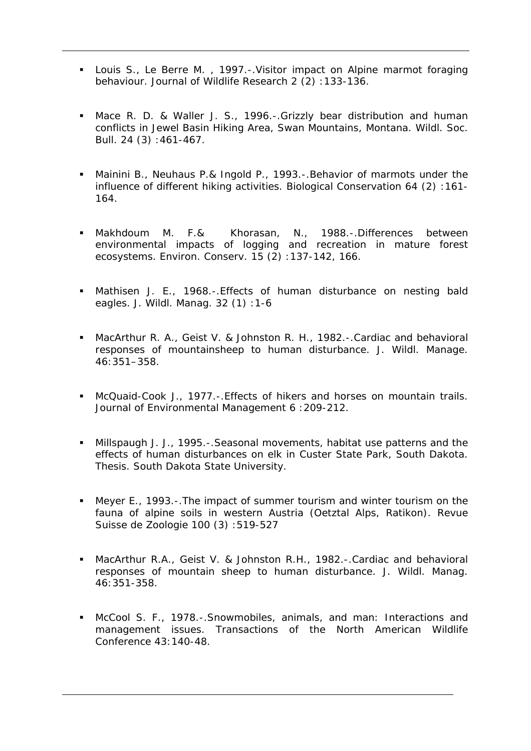- Louis S., Le Berre M. , 1997.-.Visitor impact on Alpine marmot foraging behaviour. Journal of Wildlife Research 2 (2): 133-136.
- Mace R. D. & Waller J. S., 1996.-.Grizzly bear distribution and human conflicts in Jewel Basin Hiking Area, Swan Mountains, Montana. Wildl. Soc. Bull. 24 (3) :461-467.
- Mainini B., Neuhaus P.& Ingold P., 1993.-.Behavior of marmots under the influence of different hiking activities. Biological Conservation 64 (2) :161- 164.
- Makhdoum M. F.& Khorasan, N., 1988.-.Differences between environmental impacts of logging and recreation in mature forest ecosystems. Environ. Conserv. 15 (2) :137-142, 166.
- Mathisen J. E., 1968.-.Effects of human disturbance on nesting bald eagles. J. Wildl. Manag. 32 (1) :1-6
- MacArthur R. A., Geist V. & Johnston R. H., 1982.-.Cardiac and behavioral responses of mountainsheep to human disturbance. J. Wildl. Manage. 46:351–358.
- McQuaid-Cook J., 1977.-.Effects of hikers and horses on mountain trails. Journal of Environmental Management 6 :209-212.
- Millspaugh J. J., 1995.-.Seasonal movements, habitat use patterns and the effects of human disturbances on elk in Custer State Park, South Dakota. Thesis. South Dakota State University.
- Meyer E., 1993.-.The impact of summer tourism and winter tourism on the fauna of alpine soils in western Austria (Oetztal Alps, Ratikon). Revue Suisse de Zoologie 100 (3) :519-527
- MacArthur R.A., Geist V. & Johnston R.H., 1982.-.Cardiac and behavioral responses of mountain sheep to human disturbance. J. Wildl. Manag. 46:351-358.
- McCool S. F., 1978.-.Snowmobiles, animals, and man: Interactions and management issues. Transactions of the North American Wildlife Conference 43:140-48.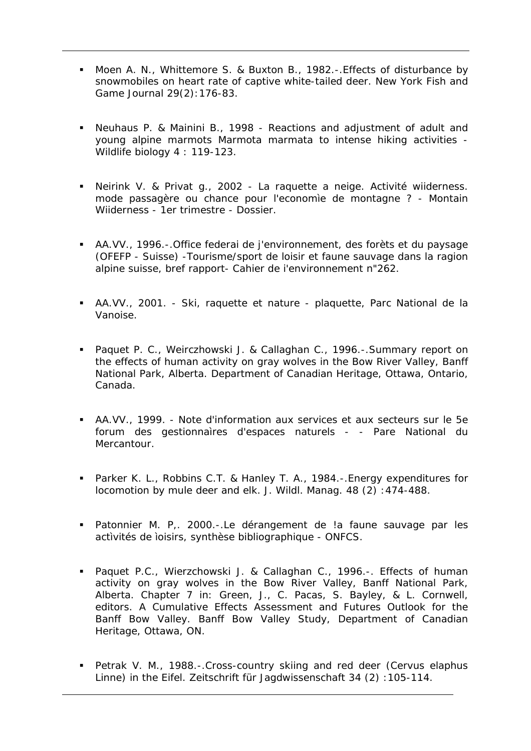- Moen A. N., Whittemore S. & Buxton B., 1982.-.Effects of disturbance by snowmobiles on heart rate of captive white-tailed deer. New York Fish and Game Journal 29(2):176-83.
- Neuhaus P. & Mainini B., 1998 Reactions and adjustment of adult and young alpine marmots Marmota marmata to intense hiking activities - Wildlife biology 4 : 119-123.
- Neirink V. & Privat g., 2002 La raquette a neige. Activité wiiderness. mode passagère ou chance pour l'economìe de montagne ? - Montain Wiiderness - 1er trimestre - Dossier.
- AA.VV., 1996.-.Office federai de j'environnement, des forèts et du paysage (OFEFP - Suisse) -Tourisme/sport de loisir et faune sauvage dans la ragion alpine suisse, bref rapport- Cahier de i'environnement n"262.
- AA.VV., 2001. Ski, raquette et nature plaquette, Parc National de la Vanoise.
- **Paquet P. C., Weirczhowski J. & Callaghan C., 1996.-. Summary report on** the effects of human activity on gray wolves in the Bow River Valley, Banff National Park, Alberta. Department of Canadian Heritage, Ottawa, Ontario, Canada.
- AA.VV., 1999. Note d'information aux services et aux secteurs sur le 5e forum des gestionnaìres d'espaces naturels - - Pare National du Mercantour.
- Parker K. L., Robbins C.T. & Hanley T. A., 1984.-.Energy expenditures for locomotion by mule deer and elk. J. Wildl. Manag. 48 (2) :474-488.
- Patonnier M. P,. 2000.-.Le dérangement de !a faune sauvage par les actìvités de ìoisirs, synthèse bibliographique - ONFCS.
- Paquet P.C., Wierzchowski J. & Callaghan C., 1996.-. Effects of human activity on gray wolves in the Bow River Valley, Banff National Park, Alberta. Chapter 7 in: Green, J., C. Pacas, S. Bayley, & L. Cornwell, editors. A Cumulative Effects Assessment and Futures Outlook for the Banff Bow Valley. Banff Bow Valley Study, Department of Canadian Heritage, Ottawa, ON.
- Petrak V. M., 1988.-.Cross-country skiing and red deer (Cervus elaphus Linne) in the Eifel. Zeitschrift für Jagdwissenschaft 34 (2) :105-114.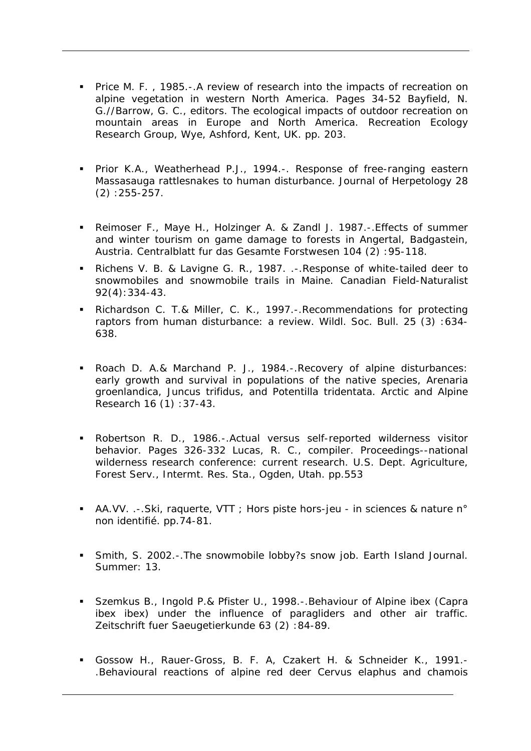- **Price M. F., 1985.-. A review of research into the impacts of recreation on** alpine vegetation in western North America. Pages 34-52 Bayfield, N. G.//Barrow, G. C., editors. The ecological impacts of outdoor recreation on mountain areas in Europe and North America. Recreation Ecology Research Group, Wye, Ashford, Kent, UK. pp. 203.
- **Prior K.A., Weatherhead P.J., 1994.-. Response of free-ranging eastern** Massasauga rattlesnakes to human disturbance. Journal of Herpetology 28 (2) :255-257.
- Reimoser F., Maye H., Holzinger A. & Zandl J. 1987.-.Effects of summer and winter tourism on game damage to forests in Angertal, Badgastein, Austria. Centralblatt fur das Gesamte Forstwesen 104 (2) :95-118.
- Richens V. B. & Lavigne G. R., 1987. .-.Response of white-tailed deer to snowmobiles and snowmobile trails in Maine. Canadian Field-Naturalist 92(4):334-43.
- Richardson C. T.& Miller, C. K., 1997.-.Recommendations for protecting raptors from human disturbance: a review. Wildl. Soc. Bull. 25 (3) :634- 638.
- Roach D. A.& Marchand P. J., 1984.-.Recovery of alpine disturbances: early growth and survival in populations of the native species, Arenaria groenlandica, Juncus trifidus, and Potentilla tridentata. Arctic and Alpine Research 16 (1) :37-43.
- Robertson R. D., 1986.-.Actual versus self-reported wilderness visitor behavior. Pages 326-332 Lucas, R. C., compiler. Proceedings--national wilderness research conference: current research. U.S. Dept. Agriculture, Forest Serv., Intermt. Res. Sta., Ogden, Utah. pp.553
- AA.VV. .-.Ski, raquerte, VTT ; Hors piste hors-jeu in sciences & nature n° non identifié. pp.74-81.
- Smith, S. 2002.-.The snowmobile lobby?s snow job. Earth Island Journal. Summer: 13.
- Szemkus B., Ingold P.& Pfister U., 1998.-.Behaviour of Alpine ibex (Capra ibex ibex) under the influence of paragliders and other air traffic. Zeitschrift fuer Saeugetierkunde 63 (2) :84-89.
- Gossow H., Rauer-Gross, B. F. A, Czakert H. & Schneider K., 1991.- .Behavioural reactions of alpine red deer Cervus elaphus and chamois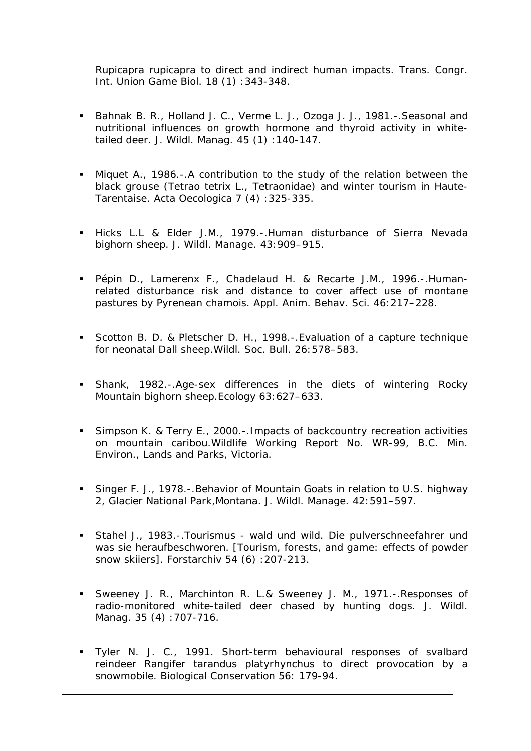Rupicapra rupicapra to direct and indirect human impacts. Trans. Congr. Int. Union Game Biol. 18 (1) :343-348.

- Bahnak B. R., Holland J. C., Verme L. J., Ozoga J. J., 1981.-. Seasonal and nutritional influences on growth hormone and thyroid activity in whitetailed deer. J. Wildl. Manag. 45 (1) :140-147.
- Miquet A., 1986.-.A contribution to the study of the relation between the black grouse (Tetrao tetrix L., Tetraonidae) and winter tourism in Haute-Tarentaise. Acta Oecologica 7 (4) :325-335.
- Hicks L.L & Elder J.M., 1979.-.Human disturbance of Sierra Nevada bighorn sheep. J. Wildl. Manage. 43:909–915.
- Pépin D., Lamerenx F., Chadelaud H. & Recarte J.M., 1996.-.Humanrelated disturbance risk and distance to cover affect use of montane pastures by Pyrenean chamois. Appl. Anim. Behav. Sci. 46:217–228.
- Scotton B. D. & Pletscher D. H., 1998.-.Evaluation of a capture technique for neonatal Dall sheep.Wildl. Soc. Bull. 26:578–583.
- Shank, 1982.-.Age-sex differences in the diets of wintering Rocky Mountain bighorn sheep.Ecology 63:627–633.
- Simpson K. & Terry E., 2000.-.Impacts of backcountry recreation activities on mountain caribou.Wildlife Working Report No. WR-99, B.C. Min. Environ., Lands and Parks, Victoria.
- Singer F. J., 1978.-.Behavior of Mountain Goats in relation to U.S. highway 2, Glacier National Park,Montana. J. Wildl. Manage. 42:591–597.
- Stahel J., 1983.-.Tourismus wald und wild. Die pulverschneefahrer und was sie heraufbeschworen. [Tourism, forests, and game: effects of powder snow skiiers]. Forstarchiv 54 (6): 207-213.
- Sweeney J. R., Marchinton R. L.& Sweeney J. M., 1971.-.Responses of radio-monitored white-tailed deer chased by hunting dogs. J. Wildl. Manag. 35 (4) :707-716.
- Tyler N. J. C., 1991. Short-term behavioural responses of svalbard reindeer Rangifer tarandus platyrhynchus to direct provocation by a snowmobile. Biological Conservation 56: 179-94.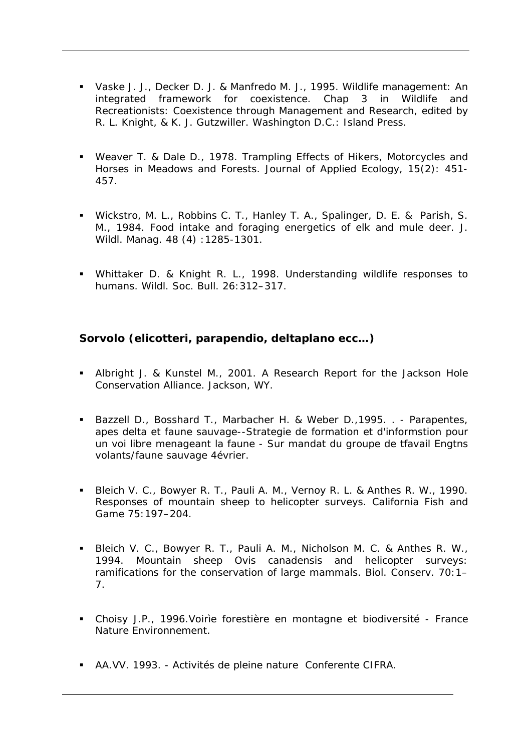- Vaske J. J., Decker D. J. & Manfredo M. J., 1995. Wildlife management: An integrated framework for coexistence. Chap 3 in Wildlife and Recreationists: Coexistence through Management and Research, edited by R. L. Knight, & K. J. Gutzwiller. Washington D.C.: Island Press.
- Weaver T. & Dale D., 1978. Trampling Effects of Hikers, Motorcycles and Horses in Meadows and Forests. Journal of Applied Ecology, 15(2): 451- 457.
- Wickstro, M. L., Robbins C. T., Hanley T. A., Spalinger, D. E. & Parish, S. M., 1984. Food intake and foraging energetics of elk and mule deer. J. Wildl. Manag. 48 (4) :1285-1301.
- Whittaker D. & Knight R. L., 1998. Understanding wildlife responses to humans. Wildl. Soc. Bull. 26:312–317.

#### **Sorvolo (elicotteri, parapendio, deltaplano ecc…)**

- Albright J. & Kunstel M., 2001. A Research Report for the Jackson Hole Conservation Alliance. Jackson, WY.
- Bazzell D., Bosshard T., Marbacher H. & Weber D.,1995. . Parapentes, apes delta et faune sauvage--Strategie de formation et d'informstion pour un voi libre menageant la faune - Sur mandat du groupe de tfavail Engtns volants/faune sauvage 4évrier.
- Bleich V. C., Bowyer R. T., Pauli A. M., Vernoy R. L. & Anthes R. W., 1990. Responses of mountain sheep to helicopter surveys. California Fish and Game 75:197–204.
- Bleich V. C., Bowyer R. T., Pauli A. M., Nicholson M. C. & Anthes R. W., 1994. Mountain sheep Ovis canadensis and helicopter surveys: ramifications for the conservation of large mammals. Biol. Conserv. 70:1– 7.
- Choisy J.P., 1996.Voirìe forestière en montagne et biodiversité France Nature Environnement.
- AA.VV. 1993. Activités de pleine nature Conferente CIFRA.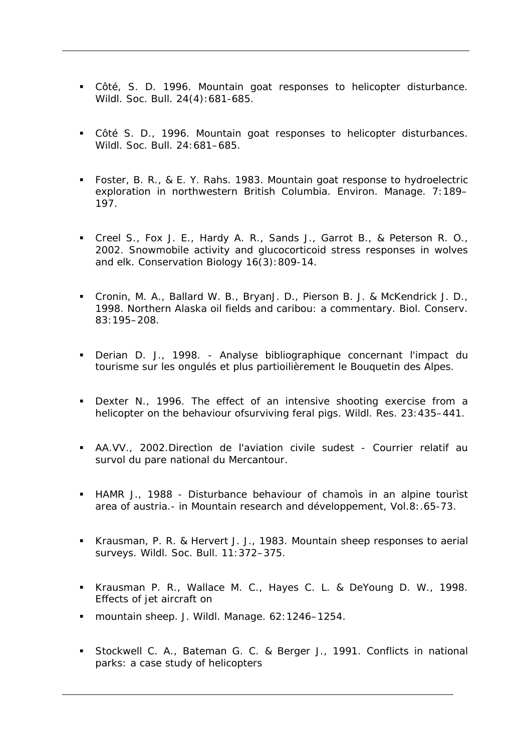- Côté, S. D. 1996. Mountain goat responses to helicopter disturbance. Wildl. Soc. Bull. 24(4):681-685.
- Côté S. D., 1996. Mountain goat responses to helicopter disturbances. Wildl. Soc. Bull. 24:681–685.
- Foster, B. R., & E. Y. Rahs. 1983. Mountain goat response to hydroelectric exploration in northwestern British Columbia. Environ. Manage. 7:189– 197.
- Creel S., Fox J. E., Hardy A. R., Sands J., Garrot B., & Peterson R. O., 2002. Snowmobile activity and glucocorticoid stress responses in wolves and elk. Conservation Biology 16(3):809-14.
- Cronin, M. A., Ballard W. B., BryanJ. D., Pierson B. J. & McKendrick J. D., 1998. Northern Alaska oil fields and caribou: a commentary. Biol. Conserv. 83:195–208.
- Derian D. J., 1998. Analyse bibliographique concernant l'impact du tourisme sur les ongulés et plus partioilièrement le Bouquetin des Alpes.
- **Dexter N., 1996. The effect of an intensive shooting exercise from a** helicopter on the behaviour ofsurviving feral pigs. Wildl. Res. 23:435–441.
- AA.VV., 2002.Directìon de l'aviation civile sudest Courrier relatif au survol du pare national du Mercantour.
- HAMR J., 1988 Disturbance behaviour of chamoìs in an alpine tourìst area of austria.- in Mountain research and développement, Vol.8:.65-73.
- Krausman, P. R. & Hervert J. J., 1983. Mountain sheep responses to aerial surveys. Wildl. Soc. Bull. 11:372–375.
- Krausman P. R., Wallace M. C., Hayes C. L. & DeYoung D. W., 1998. Effects of jet aircraft on
- mountain sheep. J. Wildl. Manage. 62:1246–1254.
- Stockwell C. A., Bateman G. C. & Berger J., 1991. Conflicts in national parks: a case study of helicopters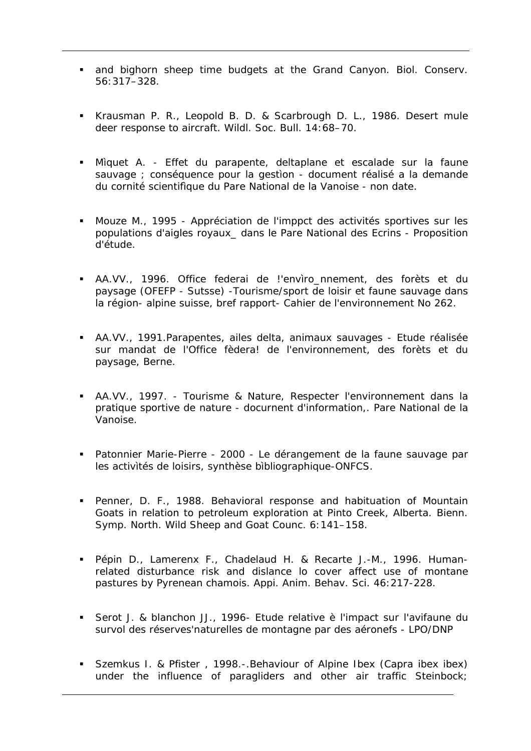- and bighorn sheep time budgets at the Grand Canyon. Biol. Conserv. 56:317–328.
- Krausman P. R., Leopold B. D. & Scarbrough D. L., 1986. Desert mule deer response to aircraft. Wildl. Soc. Bull. 14:68–70.
- Mìquet A. Effet du parapente, deltaplane et escalade sur la faune sauvage ; conséquence pour la gestion - document réalisé a la demande du cornité scientifìque du Pare National de la Vanoise - non date.
- Mouze M., 1995 Appréciation de l'imppct des activités sportives sur les populations d'aigles royaux\_ dans le Pare National des Ecrins - Proposition d'étude.
- AA.VV., 1996. Office federai de l'envìro nnement, des forèts et du paysage (OFEFP - Sutsse) -Tourisme/sport de loisir et faune sauvage dans la région- alpine suisse, bref rapport- Cahier de l'environnement No 262.
- AA.VV., 1991.Parapentes, ailes delta, animaux sauvages Etude réalisée sur mandat de l'Office fèdera! de l'environnement, des forèts et du paysage, Berne.
- AA.VV., 1997. Tourisme & Nature, Respecter l'environnement dans la pratique sportive de nature - docurnent d'information,. Pare National de la Vanoise.
- Patonnier Marie-Pierre 2000 Le dérangement de la faune sauvage par les activìtés de loisirs, synthèse bìbliographique-ONFCS.
- Penner, D. F., 1988. Behavioral response and habituation of Mountain Goats in relation to petroleum exploration at Pinto Creek, Alberta. Bienn. Symp. North. Wild Sheep and Goat Counc. 6:141–158.
- Pépin D., Lamerenx F., Chadelaud H. & Recarte J.-M., 1996. Humanrelated disturbance risk and dislance lo cover affect use of montane pastures by Pyrenean chamois. Appi. Anim. Behav. Sci. 46:217-228.
- Serot J. & blanchon JJ., 1996- Etude relative è l'impact sur l'avifaune du survol des réserves'naturelles de montagne par des aéronefs - LPO/DNP
- Szemkus I. & Pfister , 1998.-.Behaviour of Alpine Ibex (Capra ibex ibex) under the influence of paragliders and other air traffic Steinbock;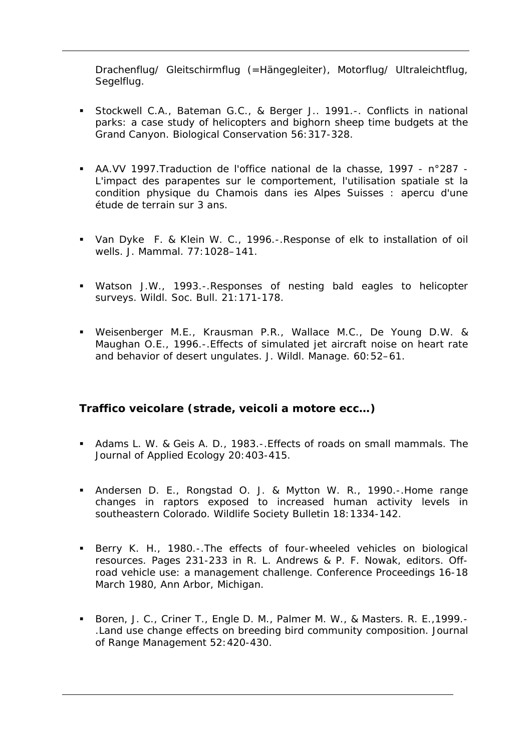Drachenflug/ Gleitschirmflug (=Hängegleiter), Motorflug/ Ultraleichtflug, Segelflug.

- Stockwell C.A., Bateman G.C., & Berger J.. 1991.-. Conflicts in national parks: a case study of helicopters and bighorn sheep time budgets at the Grand Canyon. Biological Conservation 56:317-328.
- AA.VV 1997.Traduction de l'office national de la chasse, 1997 n°287 L'impact des parapentes sur le comportement, l'utilisation spatiale st la condition physique du Chamois dans ies Alpes Suisses : apercu d'une étude de terrain sur 3 ans.
- Van Dyke F. & Klein W. C., 1996.-.Response of elk to installation of oil wells. J. Mammal. 77:1028–141.
- Watson J.W., 1993.-.Responses of nesting bald eagles to helicopter surveys. Wildl. Soc. Bull. 21:171-178.
- Weisenberger M.E., Krausman P.R., Wallace M.C., De Young D.W. & Maughan O.E., 1996.-.Effects of simulated jet aircraft noise on heart rate and behavior of desert ungulates. J. Wildl. Manage. 60:52–61.

#### **Traffico veicolare (strade, veicoli a motore ecc…)**

- Adams L. W. & Geis A. D., 1983.-.Effects of roads on small mammals. The Journal of Applied Ecology 20:403-415.
- Andersen D. E., Rongstad O. J. & Mytton W. R., 1990.-.Home range changes in raptors exposed to increased human activity levels in southeastern Colorado. Wildlife Society Bulletin 18:1334-142.
- Berry K. H., 1980.-.The effects of four-wheeled vehicles on biological resources. Pages 231-233 in R. L. Andrews & P. F. Nowak, editors. Offroad vehicle use: a management challenge. Conference Proceedings 16-18 March 1980, Ann Arbor, Michigan.
- Boren, J. C., Criner T., Engle D. M., Palmer M. W., & Masters. R. E., 1999.-.Land use change effects on breeding bird community composition. Journal of Range Management 52:420-430.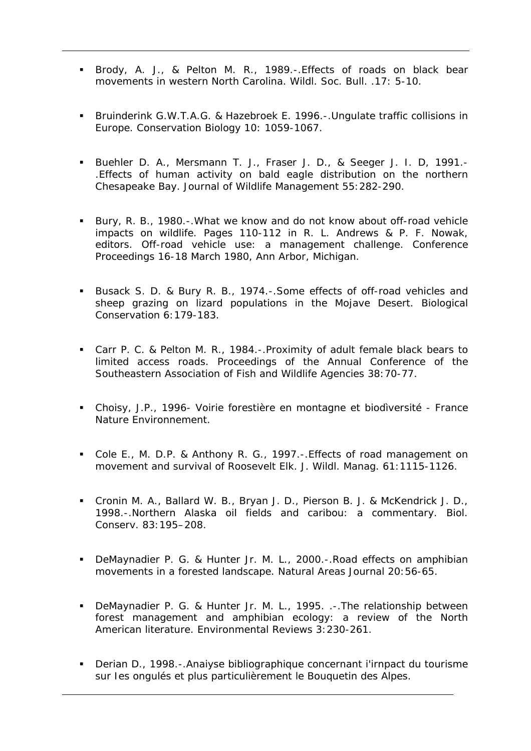- Brody, A. J., & Pelton M. R., 1989.-.Effects of roads on black bear movements in western North Carolina. Wildl. Soc. Bull. .17: 5-10.
- Bruinderink G.W.T.A.G. & Hazebroek E. 1996.-.Ungulate traffic collisions in Europe. Conservation Biology 10: 1059-1067.
- Buehler D. A., Mersmann T. J., Fraser J. D., & Seeger J. I. D, 1991.- .Effects of human activity on bald eagle distribution on the northern Chesapeake Bay. Journal of Wildlife Management 55:282-290.
- Bury, R. B., 1980.-. What we know and do not know about off-road vehicle impacts on wildlife. Pages 110-112 in R. L. Andrews & P. F. Nowak, editors. Off-road vehicle use: a management challenge. Conference Proceedings 16-18 March 1980, Ann Arbor, Michigan.
- Busack S. D. & Bury R. B., 1974.-.Some effects of off-road vehicles and sheep grazing on lizard populations in the Mojave Desert. Biological Conservation 6:179-183.
- Carr P. C. & Pelton M. R., 1984.-.Proximity of adult female black bears to limited access roads. Proceedings of the Annual Conference of the Southeastern Association of Fish and Wildlife Agencies 38:70-77.
- Choisy, J.P., 1996- Voirie forestière en montagne et biodìversité France Nature Environnement.
- Cole E., M. D.P. & Anthony R. G., 1997.-.Effects of road management on movement and survival of Roosevelt Elk. J. Wildl. Manag. 61:1115-1126.
- Cronin M. A., Ballard W. B., Bryan J. D., Pierson B. J. & McKendrick J. D., 1998.-.Northern Alaska oil fields and caribou: a commentary. Biol. Conserv. 83:195–208.
- DeMaynadier P. G. & Hunter Jr. M. L., 2000.-.Road effects on amphibian movements in a forested landscape. Natural Areas Journal 20:56-65.
- DeMaynadier P. G. & Hunter Jr. M. L., 1995. .-.The relationship between forest management and amphibian ecology: a review of the North American literature. Environmental Reviews 3:230-261.
- Derian D., 1998.-.Anaiyse bibliographique concernant i'irnpact du tourisme sur Ies ongulés et plus particulièrement le Bouquetin des Alpes.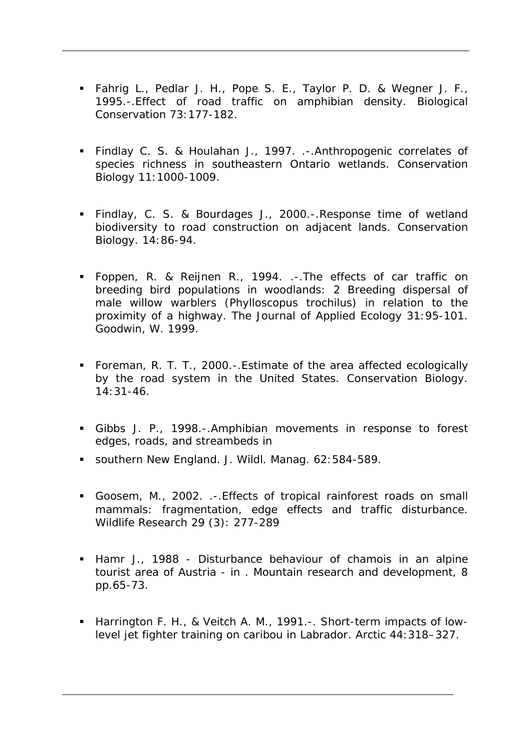- Fahrig L., Pedlar J. H., Pope S. E., Taylor P. D. & Wegner J. F., 1995.-.Effect of road traffic on amphibian density. Biological Conservation 73:177-182.
- Findlay C. S. & Houlahan J., 1997. .-.Anthropogenic correlates of species richness in southeastern Ontario wetlands. Conservation Biology 11:1000-1009.
- Findlay, C. S. & Bourdages J., 2000.-.Response time of wetland biodiversity to road construction on adjacent lands. Conservation Biology. 14:86-94.
- Foppen, R. & Reijnen R., 1994. .-.The effects of car traffic on breeding bird populations in woodlands: 2 Breeding dispersal of male willow warblers (Phylloscopus trochilus) in relation to the proximity of a highway. The Journal of Applied Ecology 31:95-101. Goodwin, W. 1999.
- Foreman, R. T. T., 2000.-.Estimate of the area affected ecologically by the road system in the United States. Conservation Biology.  $14:31-46.$
- Gibbs J. P., 1998.-.Amphibian movements in response to forest edges, roads, and streambeds in
- southern New England. J. Wildl. Manag. 62:584-589.
- Goosem, M., 2002. .-.Effects of tropical rainforest roads on small mammals: fragmentation, edge effects and traffic disturbance. Wildlife Research 29 (3): 277-289
- Hamr J., 1988 Disturbance behaviour of chamois in an alpine tourist area of Austria - in . Mountain research and development, 8 pp.65-73.
- Harrington F. H., & Veitch A. M., 1991.-. Short-term impacts of lowlevel jet fighter training on caribou in Labrador. Arctic 44:318–327.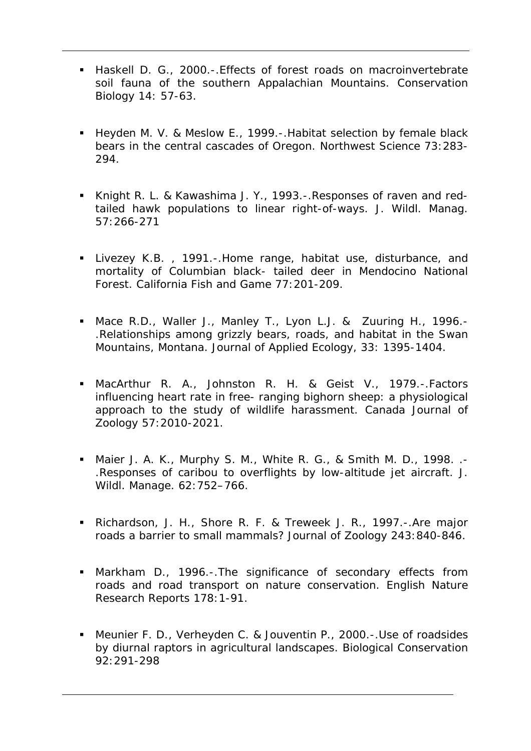- Haskell D. G., 2000.-.Effects of forest roads on macroinvertebrate soil fauna of the southern Appalachian Mountains. Conservation Biology 14: 57-63.
- Heyden M. V. & Meslow E., 1999.-. Habitat selection by female black bears in the central cascades of Oregon. Northwest Science 73:283- 294.
- Knight R. L. & Kawashima J. Y., 1993.-.Responses of raven and redtailed hawk populations to linear right-of-ways. J. Wildl. Manag. 57:266-271
- Livezey K.B. , 1991.-.Home range, habitat use, disturbance, and mortality of Columbian black- tailed deer in Mendocino National Forest. California Fish and Game 77:201-209.
- Mace R.D., Waller J., Manley T., Lyon L.J. & Zuuring H., 1996.- .Relationships among grizzly bears, roads, and habitat in the Swan Mountains, Montana. Journal of Applied Ecology, 33: 1395-1404.
- MacArthur R. A., Johnston R. H. & Geist V., 1979.-.Factors influencing heart rate in free- ranging bighorn sheep: a physiological approach to the study of wildlife harassment. Canada Journal of Zoology 57:2010-2021.
- Maier J. A. K., Murphy S. M., White R. G., & Smith M. D., 1998. .- .Responses of caribou to overflights by low-altitude jet aircraft. J. Wildl. Manage. 62:752–766.
- Richardson, J. H., Shore R. F. & Treweek J. R., 1997.-.Are major roads a barrier to small mammals? Journal of Zoology 243:840-846.
- Markham D., 1996.-.The significance of secondary effects from roads and road transport on nature conservation. English Nature Research Reports 178:1-91.
- Meunier F. D., Verheyden C. & Jouventin P., 2000.-.Use of roadsides by diurnal raptors in agricultural landscapes. Biological Conservation 92:291-298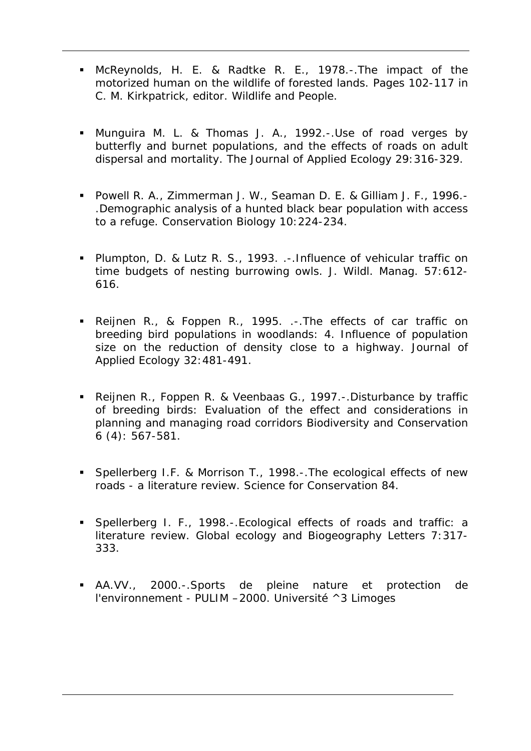- McReynolds, H. E. & Radtke R. E., 1978.-.The impact of the motorized human on the wildlife of forested lands. Pages 102-117 in C. M. Kirkpatrick, editor. Wildlife and People.
- Munguira M. L. & Thomas J. A., 1992.-.Use of road verges by butterfly and burnet populations, and the effects of roads on adult dispersal and mortality. The Journal of Applied Ecology 29:316-329.
- Powell R. A., Zimmerman J. W., Seaman D. E. & Gilliam J. F., 1996.- .Demographic analysis of a hunted black bear population with access to a refuge. Conservation Biology 10:224-234.
- Plumpton, D. & Lutz R. S., 1993. .-.Influence of vehicular traffic on time budgets of nesting burrowing owls. J. Wildl. Manag. 57:612- 616.
- Reijnen R., & Foppen R., 1995. .-.The effects of car traffic on breeding bird populations in woodlands: 4. Influence of population size on the reduction of density close to a highway. Journal of Applied Ecology 32:481-491.
- Reijnen R., Foppen R. & Veenbaas G., 1997.-.Disturbance by traffic of breeding birds: Evaluation of the effect and considerations in planning and managing road corridors Biodiversity and Conservation 6 (4): 567-581.
- **Spellerberg I.F. & Morrison T., 1998.-. The ecological effects of new** roads - a literature review. Science for Conservation 84.
- Spellerberg I. F., 1998.-.Ecological effects of roads and traffic: a literature review. Global ecology and Biogeography Letters 7:317- 333.
- AA.VV., 2000.-.Sports de pleine nature et protection de l'environnement - PULIM –2000. Université ^3 Limoges